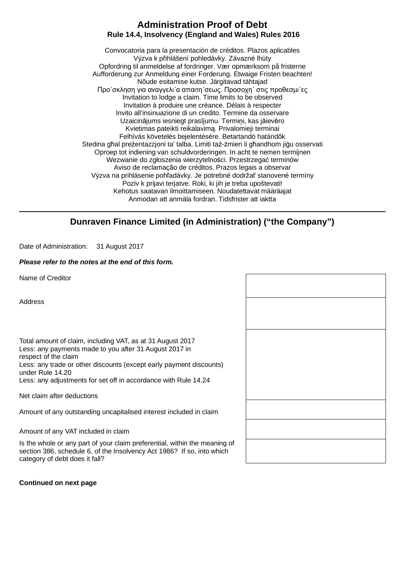## **Administration Proof of Debt Rule 14.4, Insolvency (England and Wales) Rules 2016**

Convocatoria para la presentación de créditos. Plazos aplicables Výzva k přihlášení pohledávky. Závazné lhůty Opfordring til anmeldelse af fordringer. Vær opmærksom på fristerne Aufforderung zur Anmeldung einer Forderung. Etwaige Fristen beachten! Nõude esitamise kutse. Järgitavad tähtajad Προ΄σκληση για αναγγελι΄α απαιτη΄σεως. Προσοχη΄ στις προθεσµι΄ες Invitation to lodge a claim. Time limits to be observed Invitation à produire une créance. Délais à respecter Invito all'insinuazione di un credito. Termine da osservare Uzaicinājums iesniegt prasījumu. Termiņi, kas jāievēro Kvietimas pateikti reikalavimą. Privalomieji terminai Felhívás követelés bejelentésére. Betartandó határidők Stedina għal preżentazzjoni ta' talba. Limiti taż-żmien li għandhom jiġu osservati Oproep tot indiening van schuldvorderingen. In acht te nemen termijnen Wezwanie do zgłoszenia wierzytelności. Przestrzegać terminów Aviso de reclamação de créditos. Prazos legais a observar Výzva na prihlásenie pohľadávky. Je potrebné dodržať stanovené termíny Poziv k prijavi terjatve. Roki, ki jih je treba upoštevati! Kehotus saatavan ilmoittamiseen. Noudatettavat määräajat Anmodan att anmäla fordran. Tidsfrister att iaktta

# **Dunraven Finance Limited (in Administration) ("the Company")**

Date of Administration: 31 August 2017

#### *Please refer to the notes at the end of this form.*

Name of Creditor

Address

Total amount of claim, including VAT, as at 31 August 2017 Less: any payments made to you after 31 August 2017 in respect of the claim Less: any trade or other discounts (except early payment discounts) under Rule 14.20

Less: any adjustments for set off in accordance with Rule 14.24

Net claim after deductions

Amount of any outstanding uncapitalised interest included in claim

Amount of any VAT included in claim

Is the whole or any part of your claim preferential, within the meaning of section 386, schedule 6, of the Insolvency Act 1986? If so, into which category of debt does it fall?

### **Continued on next page**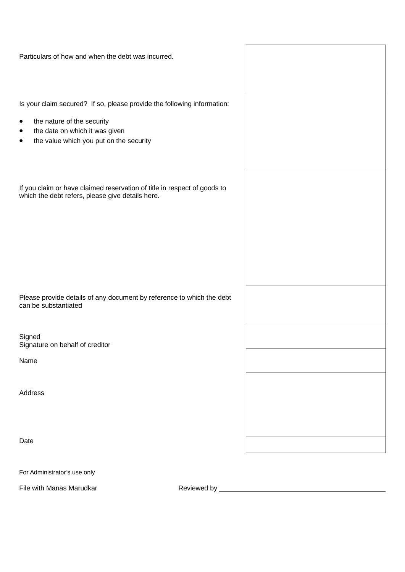| Particulars of how and when the debt was incurred.                                                                                                                                                                |  |
|-------------------------------------------------------------------------------------------------------------------------------------------------------------------------------------------------------------------|--|
| Is your claim secured? If so, please provide the following information:<br>the nature of the security<br>$\bullet$<br>the date on which it was given<br>٠<br>the value which you put on the security<br>$\bullet$ |  |
| If you claim or have claimed reservation of title in respect of goods to<br>which the debt refers, please give details here.                                                                                      |  |
|                                                                                                                                                                                                                   |  |
| Please provide details of any document by reference to which the debt<br>can be substantiated                                                                                                                     |  |
| Signed<br>Signature on behalf of creditor                                                                                                                                                                         |  |
| Name                                                                                                                                                                                                              |  |
| Address                                                                                                                                                                                                           |  |
| Date                                                                                                                                                                                                              |  |

For Administrator's use only

File with Manas Marudkar **Reviewed by Manas Marudkar** Reviewed by **Reviewed by** All Allen Manas Marudkar **Reviewed by** Allen Manas Manas Manas Marudkar